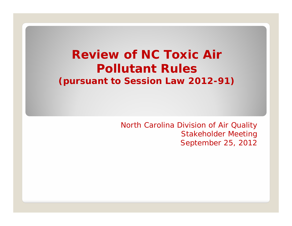### *Review of NC Toxic Air Pollutant Rules (pursuant to Session Law 2012-91)*

*North Carolina Division of Air Quality Stakeholder Meeting September 25, 2012*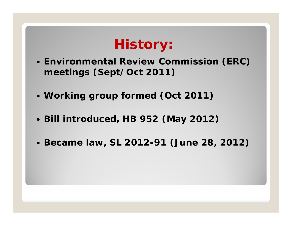# **History:**

- **Environmental Review Commission (ERC) meetings (Sept/Oct 2011)**
- **Working group formed (Oct 2011)**
- **Bill introduced, HB 952 (May 2012)**
- **Became law, SL 2012-91 (June 28, 2012)**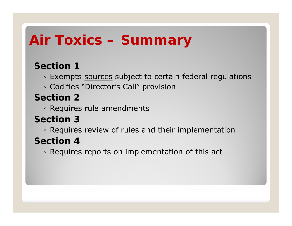# **Air Toxics – Summary**

#### **Section 1**

◦ Exempts <u>sources</u> subject to certain federal regulations

◦ Codifies "Director's Call" provision

#### **Section 2**

◦ Requires rule amendments

#### **Section 3**

◦ Requires review of rules and their implementation

#### **Section 4**

◦ Requires reports on implementation of this act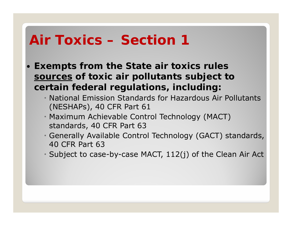- **Exempts from the State air toxics rules sources of toxic air pollutants subject to certain federal regulations, including:**
	- National Emission Standards for Hazardous Air Pollutants (NESHAPs), 40 CFR Part 61
	- Maximum Achievable Control Technology (MACT) standards, 40 CFR Part 63
	- Generally Available Control Technology (GACT) standards, 40 CFR Part 63
	- Subject to case-by-case MACT, 112(j) of the Clean Air Act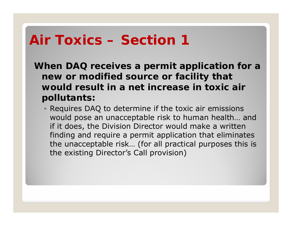**When DAQ receives a permit application for a new or modified source or facility that would result in a net increase in toxic air pollutants:**

◦ Requires DAQ to determine if the toxic air emissions would pose an unacceptable risk to human health… and if it does, the Division Director would make a written finding and require a permit application that eliminates the unacceptable risk… (for all practical purposes this is the existing Director's Call provision)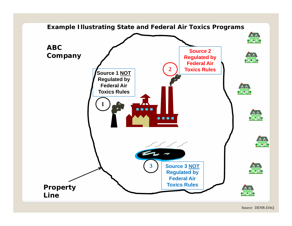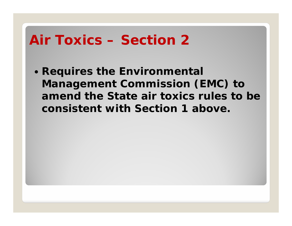**Requires the Environmental Management Commission (EMC) to amend the State air toxics rules to be consistent with Section 1 above.**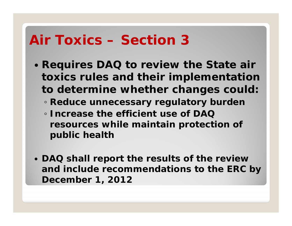- **Requires DAQ to review the State air toxics rules and their implementation to determine whether changes could:**
	- **Reduce unnecessary regulatory burden**
	- **Increase the efficient use of DAQ resources while maintain protection of public health**
- **DAQ shall report the results of the review and include recommendations to the ERC by December 1, 2012**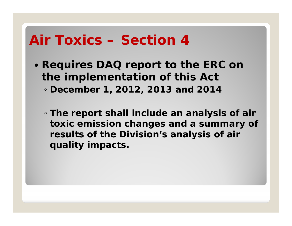- **Requires DAQ report to the ERC on the implementation of this Act** ◦ **December 1, 2012, 2013 and 2014**
	- **The report shall include an analysis of air toxic emission changes and a summary of results of the Division's analysis of air quality impacts.**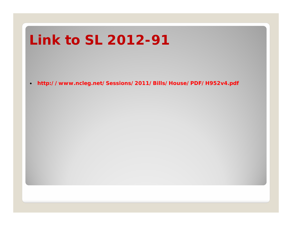# **Link to SL 2012-91**

**http://www.ncleg.net/Sessions/2011/Bills/House/PDF/H952v4.pdf**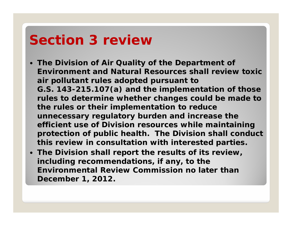# **Section 3 review**

- **The Division of Air Quality of the Department of Environment and Natural Resources shall review toxic air pollutant rules adopted pursuant to G.S. 143-215.107(a) and the implementation of those rules to determine whether changes could be made to the rules or their implementation to reduce unnecessary regulatory burden and increase the efficient use of Division resources while maintaining protection of public health. The Division shall conduct this review in consultation with interested parties.**
- **The Division shall report the results of its review, including recommendations, if any, to the Environmental Review Commission no later than December 1, 2012.**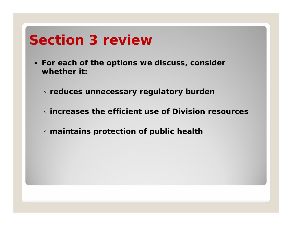# **Section 3 review**

- **For each of the options we discuss, consider whether it:**
	- **reduces unnecessary regulatory burden**
	- **increases the efficient use of Division resources**
	- **maintains protection of public health**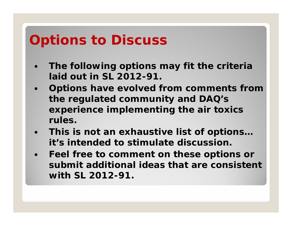# **Options to Discuss**

- $\bullet$  **The following options may fit the criteria laid out in SL 2012-91.**
- **Options have evolved from comments from the regulated community and DAQ's experience implementing the air toxics rules.**
- **This is not an exhaustive list of options… it's intended to stimulate discussion.**
- **Feel free to comment on these options or submit additional ideas that are consistent with SL 2012-91.**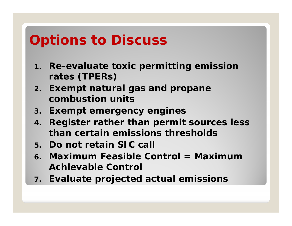# **Options to Discuss**

- **1. Re-evaluate toxic permitting emission rates (TPERs)**
- **2. Exempt natural gas and propane combustion units**
- **3. Exempt emergency engines**
- **4. Register rather than permit sources less than certain emissions thresholds**
- **5. Do not retain SIC call**
- **6. Maximum Feasible Control = Maximum Achievable Control**
- **7. Evaluate projected actual emissions**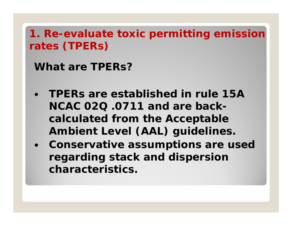### **1. Re-evaluate toxic permitting emission rates (TPERs)**

**What are TPERs?**

- **TPERs are established in rule 15A NCAC 02Q .0711 and are backcalculated from the Acceptable Ambient Level (AAL) guidelines.**
- **Conservative assumptions are used regarding stack and dispersion characteristics.**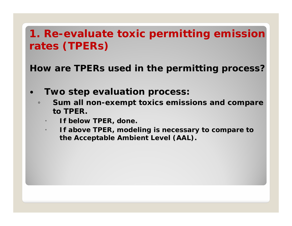#### **1. Re-evaluate toxic permitting emission rates (TPERs)**

**How are TPERs used in the permitting process?**

- $\bullet$  **Two step evaluation process:**
	- $\circ$  **Sum all non-exempt toxics emissions and compare to TPER.**
		- O **If below TPER, done.**
		- **If above TPER, modeling is necessary to compare to the Acceptable Ambient Level (AAL).**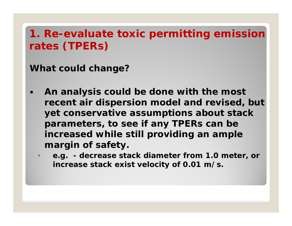### **1. Re-evaluate toxic permitting emission rates (TPERs)**

**What could change?**

- $\bullet$  **An analysis could be done with the most recent air dispersion model and revised, but yet conservative assumptions about stack parameters, to see if any TPERs can be increased while still providing an ample margin of safety.**
	- $\circ$  **e.g. - decrease stack diameter from 1.0 meter, or increase stack exist velocity of 0.01 m/s.**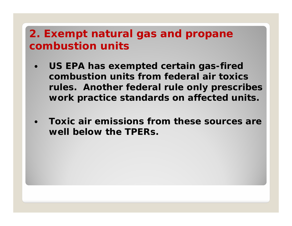#### **2. Exempt natural gas and propane combustion units**

- **US EPA has exempted certain gas-fired combustion units from federal air toxics rules. Another federal rule only prescribes work practice standards on affected units.**
- $\bullet$  **Toxic air emissions from these sources are well below the TPERs.**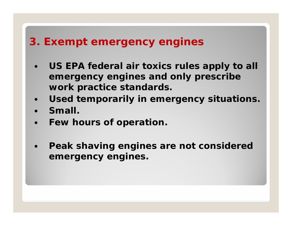#### **3. Exempt emergency engines**

- **US EPA federal air toxics rules apply to all emergency engines and only prescribe work practice standards.**
- $\bullet$ **Used temporarily in emergency situations.**
- **Small.**
- $\bullet$ **Few hours of operation.**
- $\bullet$  **Peak shaving engines are not considered emergency engines.**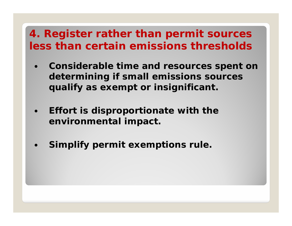#### **4. Register rather than permit sources less than certain emissions thresholds**

- $\bullet$  **Considerable time and resources spent on determining if small emissions sources qualify as exempt or insignificant.**
- $\bullet$  **Effort is disproportionate with the environmental impact.**
- $\bullet$ **Simplify permit exemptions rule.**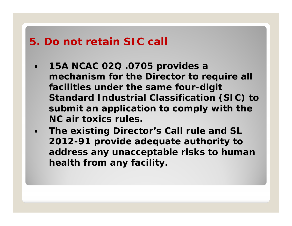#### **5. Do not retain SIC call**

- **15A NCAC 02Q .0705 provides a mechanism for the Director to require all facilities under the same four-digit Standard Industrial Classification (SIC) to submit an application to comply with the NC air toxics rules.**
- **The existing Director's Call rule and SL 2012-91 provide adequate authority to address any unacceptable risks to human health from any facility.**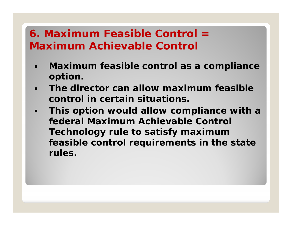### **6. Maximum Feasible Control = Maximum Achievable Control**

- $\bullet$  **Maximum feasible control as a compliance option.**
- $\bullet$  **The director can allow maximum feasible control in certain situations.**
- $\bullet$  **This option would allow compliance with a federal Maximum Achievable Control Technology rule to satisfy maximum feasible control requirements in the state rules.**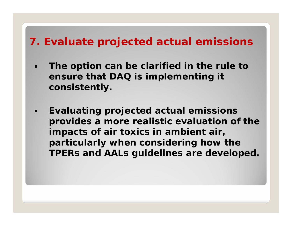#### **7. Evaluate projected actual emissions**

- $\bullet$  **The option can be clarified in the rule to ensure that DAQ is implementing it consistently.**
- $\bullet$  **Evaluating projected actual emissions provides a more realistic evaluation of the impacts of air toxics in ambient air, particularly when considering how the TPERs and AALs guidelines are developed.**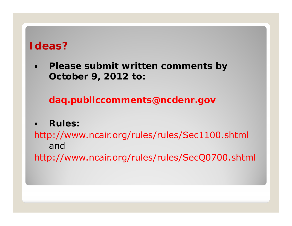#### **Ideas?**

 $\bullet$  **Please submit written comments by October 9, 2012 to:** 

**daq.publiccomments@ncdenr.gov**

 $\bullet$ **Rules:**

http://www.ncair.org/rules/rules/Sec1100.shtml andhttp://www.ncair.org/rules/rules/SecQ0700.shtml